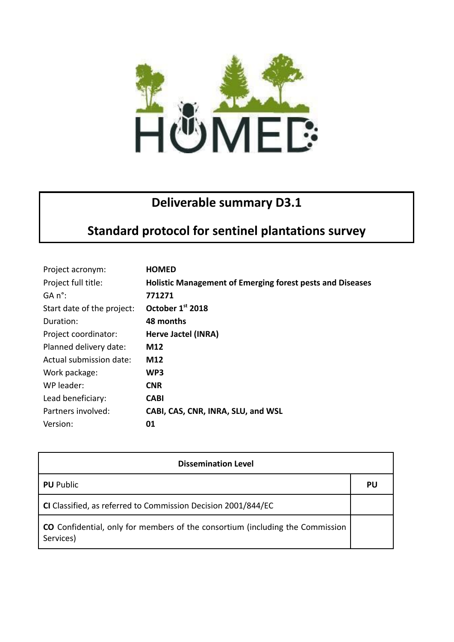

## **Deliverable summary D3.1**

## **Standard protocol for sentinel plantations survey**

| Project acronym:           | <b>HOMED</b>                                              |
|----------------------------|-----------------------------------------------------------|
| Project full title:        | Holistic Management of Emerging forest pests and Diseases |
| $GA n^{\circ}$ :           | 771271                                                    |
| Start date of the project: | October 1st 2018                                          |
| Duration:                  | 48 months                                                 |
| Project coordinator:       | Herve Jactel (INRA)                                       |
| Planned delivery date:     | M12                                                       |
| Actual submission date:    | M12                                                       |
| Work package:              | WP3                                                       |
| WP leader:                 | <b>CNR</b>                                                |
| Lead beneficiary:          | <b>CABI</b>                                               |
| Partners involved:         | CABI, CAS, CNR, INRA, SLU, and WSL                        |
| Version:                   | 01                                                        |

| <b>Dissemination Level</b>                                                                 |    |  |
|--------------------------------------------------------------------------------------------|----|--|
| <b>PU</b> Public                                                                           | PU |  |
| CI Classified, as referred to Commission Decision 2001/844/EC                              |    |  |
| CO Confidential, only for members of the consortium (including the Commission<br>Services) |    |  |